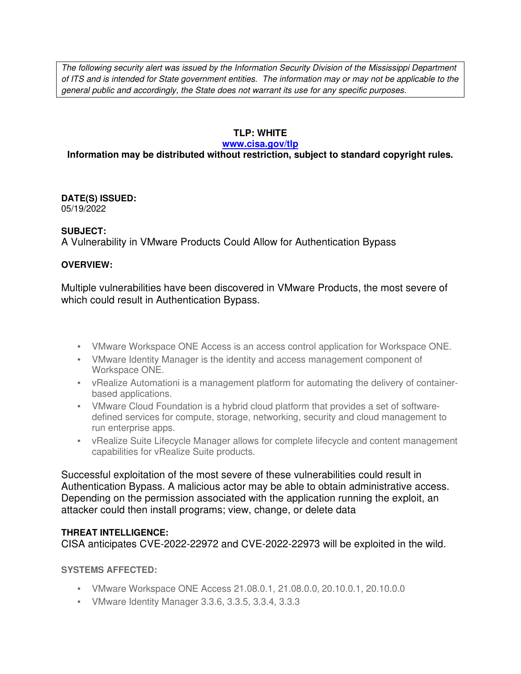The following security alert was issued by the Information Security Division of the Mississippi Department of ITS and is intended for State government entities. The information may or may not be applicable to the general public and accordingly, the State does not warrant its use for any specific purposes.

## **TLP: WHITE**

#### **www.cisa.gov/tlp**

# **Information may be distributed without restriction, subject to standard copyright rules.**

**DATE(S) ISSUED:** 05/19/2022

### **SUBJECT:**

A Vulnerability in VMware Products Could Allow for Authentication Bypass

### **OVERVIEW:**

Multiple vulnerabilities have been discovered in VMware Products, the most severe of which could result in Authentication Bypass.

- VMware Workspace ONE Access is an access control application for Workspace ONE.
- VMware Identity Manager is the identity and access management component of Workspace ONE.
- vRealize Automationi is a management platform for automating the delivery of containerbased applications.
- VMware Cloud Foundation is a hybrid cloud platform that provides a set of softwaredefined services for compute, storage, networking, security and cloud management to run enterprise apps.
- vRealize Suite Lifecycle Manager allows for complete lifecycle and content management capabilities for vRealize Suite products.

Successful exploitation of the most severe of these vulnerabilities could result in Authentication Bypass. A malicious actor may be able to obtain administrative access. Depending on the permission associated with the application running the exploit, an attacker could then install programs; view, change, or delete data

### **THREAT INTELLIGENCE:**

CISA anticipates CVE-2022-22972 and CVE-2022-22973 will be exploited in the wild.

**SYSTEMS AFFECTED:**

- VMware Workspace ONE Access 21.08.0.1, 21.08.0.0, 20.10.0.1, 20.10.0.0
- VMware Identity Manager 3.3.6, 3.3.5, 3.3.4, 3.3.3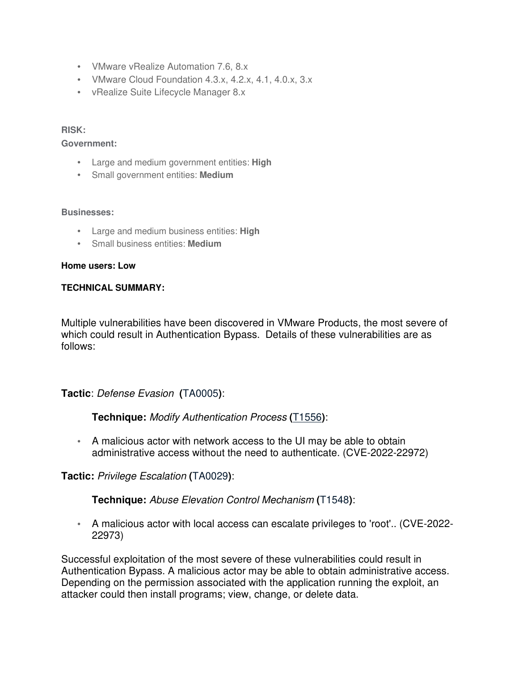- VMware vRealize Automation 7.6, 8.x
- VMware Cloud Foundation 4.3.x, 4.2.x, 4.1, 4.0.x, 3.x
- vRealize Suite Lifecycle Manager 8.x

### **RISK:**

#### **Government:**

- Large and medium government entities: **High**
- Small government entities: **Medium**

#### **Businesses:**

- Large and medium business entities: **High**
- Small business entities: **Medium**

#### **Home users: Low**

#### **TECHNICAL SUMMARY:**

Multiple vulnerabilities have been discovered in VMware Products, the most severe of which could result in Authentication Bypass. Details of these vulnerabilities are as follows:

**Tactic**: Defense Evasion **(**TA0005**)**:

**Technique:** Modify Authentication Process **(**T1556**)**:

• A malicious actor with network access to the UI may be able to obtain administrative access without the need to authenticate. (CVE-2022-22972)

### **Tactic:** Privilege Escalation **(**TA0029**)**:

**Technique:** Abuse Elevation Control Mechanism **(**T1548**)**:

• A malicious actor with local access can escalate privileges to 'root'.. (CVE-2022- 22973)

Successful exploitation of the most severe of these vulnerabilities could result in Authentication Bypass. A malicious actor may be able to obtain administrative access. Depending on the permission associated with the application running the exploit, an attacker could then install programs; view, change, or delete data.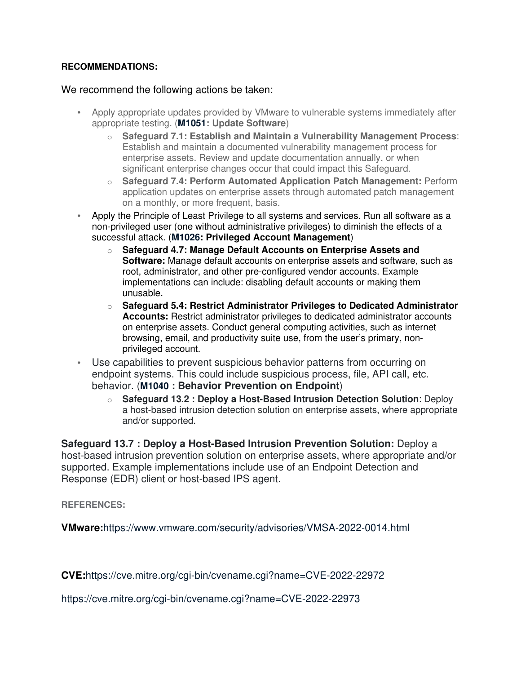### **RECOMMENDATIONS:**

### We recommend the following actions be taken:

- Apply appropriate updates provided by VMware to vulnerable systems immediately after appropriate testing. (**M1051: Update Software**)
	- o **Safeguard 7.1: Establish and Maintain a Vulnerability Management Process**: Establish and maintain a documented vulnerability management process for enterprise assets. Review and update documentation annually, or when significant enterprise changes occur that could impact this Safeguard.
	- o **Safeguard 7.4: Perform Automated Application Patch Management:** Perform application updates on enterprise assets through automated patch management on a monthly, or more frequent, basis.
- Apply the Principle of Least Privilege to all systems and services. Run all software as a non-privileged user (one without administrative privileges) to diminish the effects of a successful attack. (**M1026: Privileged Account Management**)
	- o **Safeguard 4.7: Manage Default Accounts on Enterprise Assets and Software:** Manage default accounts on enterprise assets and software, such as root, administrator, and other pre-configured vendor accounts. Example implementations can include: disabling default accounts or making them unusable.
	- o **Safeguard 5.4: Restrict Administrator Privileges to Dedicated Administrator Accounts:** Restrict administrator privileges to dedicated administrator accounts on enterprise assets. Conduct general computing activities, such as internet browsing, email, and productivity suite use, from the user's primary, nonprivileged account.
- Use capabilities to prevent suspicious behavior patterns from occurring on endpoint systems. This could include suspicious process, file, API call, etc. behavior. (**M1040 : Behavior Prevention on Endpoint**)
	- o **Safeguard 13.2 : Deploy a Host-Based Intrusion Detection Solution**: Deploy a host-based intrusion detection solution on enterprise assets, where appropriate and/or supported.

**Safeguard 13.7 : Deploy a Host-Based Intrusion Prevention Solution:** Deploy a host-based intrusion prevention solution on enterprise assets, where appropriate and/or supported. Example implementations include use of an Endpoint Detection and Response (EDR) client or host-based IPS agent.

**REFERENCES:**

**VMware:**https://www.vmware.com/security/advisories/VMSA-2022-0014.html

**CVE:**https://cve.mitre.org/cgi-bin/cvename.cgi?name=CVE-2022-22972

https://cve.mitre.org/cgi-bin/cvename.cgi?name=CVE-2022-22973